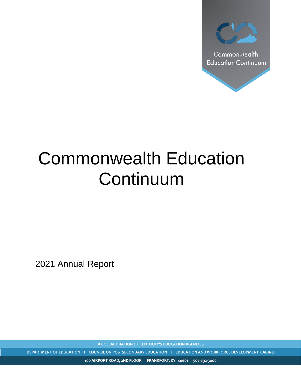

# Commonwealth Education **Continuum**

2021 Annual Report

**A COLLABORATION OF KENTUCKY'S EDUCATION AGENCIES**

**DEPARTMENT OF EDUCATION I COUNCIL ON POSTSECONDARY EDUCATION I EDUCATION AND WORKFORCE DEVELOPMENT CABINET**

**100 AIRPORT ROAD, 2ND FLOOR FRANKFORT, KY 40601 502-892-3000**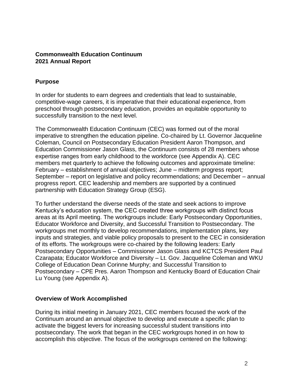## **Commonwealth Education Continuum 2021 Annual Report**

#### **Purpose**

In order for students to earn degrees and credentials that lead to sustainable, competitive-wage careers, it is imperative that their educational experience, from preschool through postsecondary education, provides an equitable opportunity to successfully transition to the next level.

The Commonwealth Education Continuum (CEC) was formed out of the moral imperative to strengthen the education pipeline. Co-chaired by Lt. Governor Jacqueline Coleman, Council on Postsecondary Education President Aaron Thompson, and Education Commissioner Jason Glass, the Continuum consists of 28 members whose expertise ranges from early childhood to the workforce (see Appendix A). CEC members met quarterly to achieve the following outcomes and approximate timeline: February – establishment of annual objectives; June – midterm progress report; September – report on legislative and policy recommendations; and December – annual progress report. CEC leadership and members are supported by a continued partnership with Education Strategy Group (ESG).

To further understand the diverse needs of the state and seek actions to improve Kentucky's education system, the CEC created three workgroups with distinct focus areas at its April meeting. The workgroups include: Early Postsecondary Opportunities, Educator Workforce and Diversity, and Successful Transition to Postsecondary. The workgroups met monthly to develop recommendations, implementation plans, key inputs and strategies, and viable policy proposals to present to the CEC in consideration of its efforts. The workgroups were co-chaired by the following leaders: Early Postsecondary Opportunities – Commissioner Jason Glass and KCTCS President Paul Czarapata; Educator Workforce and Diversity – Lt. Gov. Jacqueline Coleman and WKU College of Education Dean Corinne Murphy; and Successful Transition to Postsecondary – CPE Pres. Aaron Thompson and Kentucky Board of Education Chair Lu Young (see Appendix A).

#### **Overview of Work Accomplished**

During its initial meeting in January 2021, CEC members focused the work of the Continuum around an annual objective to develop and execute a specific plan to activate the biggest levers for increasing successful student transitions into postsecondary. The work that began in the CEC workgroups honed in on how to accomplish this objective. The focus of the workgroups centered on the following: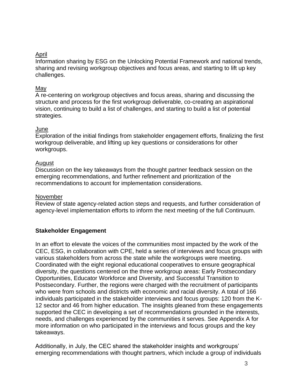## April

Information sharing by ESG on the Unlocking Potential Framework and national trends, sharing and revising workgroup objectives and focus areas, and starting to lift up key challenges.

## May

A re-centering on workgroup objectives and focus areas, sharing and discussing the structure and process for the first workgroup deliverable, co-creating an aspirational vision, continuing to build a list of challenges, and starting to build a list of potential strategies.

#### June

Exploration of the initial findings from stakeholder engagement efforts, finalizing the first workgroup deliverable, and lifting up key questions or considerations for other workgroups.

## **August**

Discussion on the key takeaways from the thought partner feedback session on the emerging recommendations, and further refinement and prioritization of the recommendations to account for implementation considerations.

## November

Review of state agency-related action steps and requests, and further consideration of agency-level implementation efforts to inform the next meeting of the full Continuum.

# **Stakeholder Engagement**

In an effort to elevate the voices of the communities most impacted by the work of the CEC, ESG, in collaboration with CPE, held a series of interviews and focus groups with various stakeholders from across the state while the workgroups were meeting. Coordinated with the eight regional educational cooperatives to ensure geographical diversity, the questions centered on the three workgroup areas: Early Postsecondary Opportunities, Educator Workforce and Diversity, and Successful Transition to Postsecondary. Further, the regions were charged with the recruitment of participants who were from schools and districts with economic and racial diversity. A total of 166 individuals participated in the stakeholder interviews and focus groups: 120 from the K-12 sector and 46 from higher education. The insights gleaned from these engagements supported the CEC in developing a set of recommendations grounded in the interests, needs, and challenges experienced by the communities it serves. See Appendix A for more information on who participated in the interviews and focus groups and the key takeaways.

Additionally, in July, the CEC shared the stakeholder insights and workgroups' emerging recommendations with thought partners, which include a group of individuals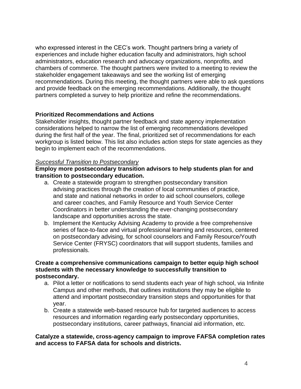who expressed interest in the CEC's work. Thought partners bring a variety of experiences and include higher education faculty and administrators, high school administrators, education research and advocacy organizations, nonprofits, and chambers of commerce. The thought partners were invited to a meeting to review the stakeholder engagement takeaways and see the working list of emerging recommendations. During this meeting, the thought partners were able to ask questions and provide feedback on the emerging recommendations. Additionally, the thought partners completed a survey to help prioritize and refine the recommendations.

#### **Prioritized Recommendations and Actions**

Stakeholder insights, thought partner feedback and state agency implementation considerations helped to narrow the list of emerging recommendations developed during the first half of the year. The final, prioritized set of recommendations for each workgroup is listed below. This list also includes action steps for state agencies as they begin to implement each of the recommendations.

#### *Successful Transition to Postsecondary*

**Employ more postsecondary transition advisors to help students plan for and transition to postsecondary education.**

- a. Create a statewide program to strengthen postsecondary transition advising practices through the creation of local communities of practice, and state and national networks in order to aid school counselors, college and career coaches, and Family Resource and Youth Service Center Coordinators in better understanding the ever-changing postsecondary landscape and opportunities across the state.
- b. Implement the Kentucky Advising Academy to provide a free comprehensive series of face-to-face and virtual professional learning and resources, centered on postsecondary advising, for school counselors and Family Resource/Youth Service Center (FRYSC) coordinators that will support students, families and professionals.

#### **Create a comprehensive communications campaign to better equip high school students with the necessary knowledge to successfully transition to postsecondary.**

- a. Pilot a letter or notifications to send students each year of high school, via Infinite Campus and other methods, that outlines institutions they may be eligible to attend and important postsecondary transition steps and opportunities for that year.
- b. Create a statewide web-based resource hub for targeted audiences to access resources and information regarding early postsecondary opportunities, postsecondary institutions, career pathways, financial aid information, etc.

#### **Catalyze a statewide, cross-agency campaign to improve FAFSA completion rates and access to FAFSA data for schools and districts.**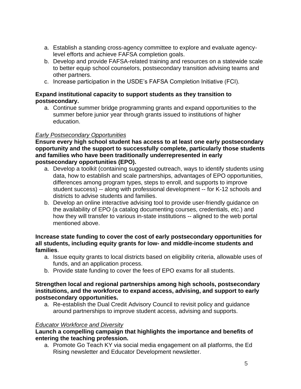- a. Establish a standing cross-agency committee to explore and evaluate agencylevel efforts and achieve FAFSA completion goals.
- b. Develop and provide FAFSA-related training and resources on a statewide scale to better equip school counselors, postsecondary transition advising teams and other partners.
- c. Increase participation in the USDE's FAFSA Completion Initiative (FCI).

## **Expand institutional capacity to support students as they transition to postsecondary.**

a. Continue summer bridge programming grants and expand opportunities to the summer before junior year through grants issued to institutions of higher education.

# *Early Postsecondary Opportunities*

**Ensure every high school student has access to at least one early postsecondary opportunity and the support to successfully complete, particularly those students and families who have been traditionally underrepresented in early postsecondary opportunities (EPO).**

- a. Develop a toolkit (containing suggested outreach, ways to identify students using data, how to establish and scale partnerships, advantages of EPO opportunities, differences among program types, steps to enroll, and supports to improve student success) -- along with professional development -- for K-12 schools and districts to advise students and families.
- b. Develop an online interactive advising tool to provide user-friendly guidance on the availability of EPO (a catalog documenting courses, credentials, etc.) and how they will transfer to various in-state institutions -- aligned to the web portal mentioned above.

#### **Increase state funding to cover the cost of early postsecondary opportunities for all students, including equity grants for low- and middle-income students and families**.

- a. Issue equity grants to local districts based on eligibility criteria, allowable uses of funds, and an application process.
- b. Provide state funding to cover the fees of EPO exams for all students.

#### **Strengthen local and regional partnerships among high schools, postsecondary institutions, and the workforce to expand access, advising, and support to early postsecondary opportunities.**

a. Re-establish the Dual Credit Advisory Council to revisit policy and guidance around partnerships to improve student access, advising and supports.

#### *Educator Workforce and Diversity*

## **Launch a compelling campaign that highlights the importance and benefits of entering the teaching profession.**

a. Promote Go Teach KY via social media engagement on all platforms, the Ed Rising newsletter and Educator Development newsletter.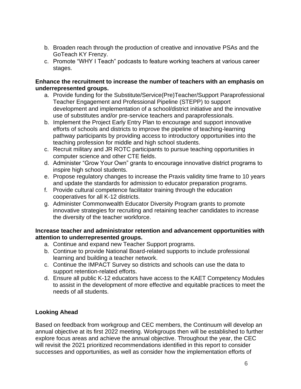- b. Broaden reach through the production of creative and innovative PSAs and the GoTeach KY Frenzy.
- c. Promote "WHY I Teach" podcasts to feature working teachers at various career stages.

#### **Enhance the recruitment to increase the number of teachers with an emphasis on underrepresented groups.**

- a. Provide funding for the Substitute/Service(Pre)Teacher/Support Paraprofessional Teacher Engagement and Professional Pipeline (STEPP) to support development and implementation of a school/district initiative and the innovative use of substitutes and/or pre-service teachers and paraprofessionals.
- b. Implement the Project Early Entry Plan to encourage and support innovative efforts of schools and districts to improve the pipeline of teaching-learning pathway participants by providing access to introductory opportunities into the teaching profession for middle and high school students.
- c. Recruit military and JR ROTC participants to pursue teaching opportunities in computer science and other CTE fields.
- d. Administer "Grow Your Own" grants to encourage innovative district programs to inspire high school students.
- e. Propose regulatory changes to increase the Praxis validity time frame to 10 years and update the standards for admission to educator preparation programs.
- f. Provide cultural competence facilitator training through the education cooperatives for all K-12 districts.
- g. Administer Commonwealth Educator Diversity Program grants to promote innovative strategies for recruiting and retaining teacher candidates to increase the diversity of the teacher workforce.

## **Increase teacher and administrator retention and advancement opportunities with attention to underrepresented groups.**

- a. Continue and expand new Teacher Support programs.
- b. Continue to provide National Board-related supports to include professional learning and building a teacher network.
- c. Continue the IMPACT Survey so districts and schools can use the data to support retention-related efforts.
- d. Ensure all public K-12 educators have access to the KAET Competency Modules to assist in the development of more effective and equitable practices to meet the needs of all students.

# **Looking Ahead**

Based on feedback from workgroup and CEC members, the Continuum will develop an annual objective at its first 2022 meeting. Workgroups then will be established to further explore focus areas and achieve the annual objective. Throughout the year, the CEC will revisit the 2021 prioritized recommendations identified in this report to consider successes and opportunities, as well as consider how the implementation efforts of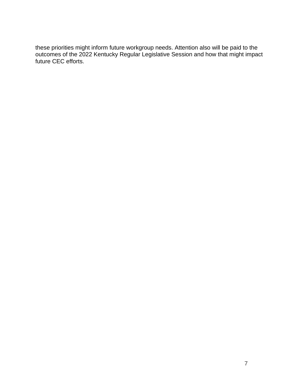these priorities might inform future workgroup needs. Attention also will be paid to the outcomes of the 2022 Kentucky Regular Legislative Session and how that might impact future CEC efforts.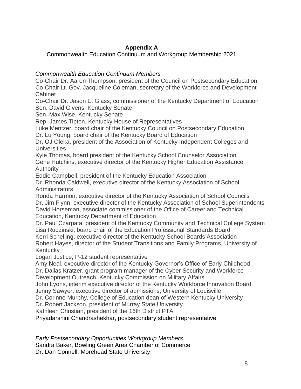# **Appendix A**

Commonwealth Education Continuum and Workgroup Membership 2021

# *Commonwealth Education Continuum Members*

Co-Chair Dr. Aaron Thompson, president of the Council on Postsecondary Education Co-Chair Lt. Gov. Jacqueline Coleman, secretary of the Workforce and Development Cabinet

Co-Chair Dr. Jason E. Glass, commissioner of the Kentucky Department of Education Sen. David Givens, Kentucky Senate

Sen. Max Wise, Kentucky Senate

Rep. James Tipton, Kentucky House of Representatives

Luke Mentzer, board chair of the Kentucky Council on Postsecondary Education

Dr. Lu Young, board chair of the Kentucky Board of Education

Dr. OJ Oleka, president of the Association of Kentucky Independent Colleges and **Universities** 

Kyle Thomas, board president of the Kentucky School Counselor Association Gene Hutchins, executive director of the Kentucky Higher Education Assistance Authority

Eddie Campbell, president of the Kentucky Education Association

Dr. Rhonda Caldwell, executive director of the Kentucky Association of School **Administrators** 

Ronda Harmon, executive director of the Kentucky Association of School Councils Dr. Jim Flynn, executive director of the Kentucky Association of School Superintendents David Horseman, associate commissioner of the Office of Career and Technical Education, Kentucky Department of Education

Dr. Paul Czarpata, president of the Kentucky Community and Technical College System Lisa Rudzinski, board chair of the Education Professional Standards Board Kerri Schelling, executive director of the Kentucky School Boards Association Robert Hayes, director of the Student Transitions and Family Programs, University of **Kentucky** 

Logan Justice, P-12 student representative

Amy Neal, executive director of the Kentucky Governor's Office of Early Childhood Dr. Dallas Kratzer, grant program manager of the Cyber Security and Workforce

Development Outreach, Kentucky Commission on Military Affairs

John Lyons, interim executive director of the Kentucky Workforce Innovation Board Jenny Sawyer, executive director of admissions, University of Louisville

Dr. Corinne Murphy, College of Education dean of Western Kentucky University

Dr. Robert Jackson, president of Murray State University

Kathleen Christian, president of the 16th District PTA

Priyadarshini Chandrashekhar, postsecondary student representative

*Early Postsecondary Opportunities Workgroup Members* Sandra Baker, Bowling Green Area Chamber of Commerce

Dr. Dan Connell, Morehead State University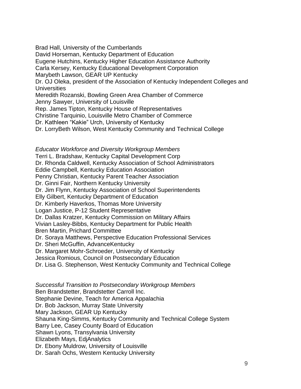Brad Hall, University of the Cumberlands David Horseman, Kentucky Department of Education Eugene Hutchins, Kentucky Higher Education Assistance Authority Carla Kersey, Kentucky Educational Development Corporation Marybeth Lawson, GEAR UP Kentucky Dr. OJ Oleka, president of the Association of Kentucky Independent Colleges and **Universities** Meredith Rozanski, Bowling Green Area Chamber of Commerce Jenny Sawyer, University of Louisville Rep. James Tipton, Kentucky House of Representatives Christine Tarquinio, Louisville Metro Chamber of Commerce Dr. Kathleen "Kakie" Urch, University of Kentucky Dr. LorryBeth Wilson, West Kentucky Community and Technical College

#### *Educator Workforce and Diversity Workgroup Members*

Terri L. Bradshaw, Kentucky Capital Development Corp Dr. Rhonda Caldwell, Kentucky Association of School Administrators Eddie Campbell, Kentucky Education Association Penny Christian, Kentucky Parent Teacher Association Dr. Ginni Fair, Northern Kentucky University Dr. Jim Flynn, Kentucky Association of School Superintendents Elly Gilbert, Kentucky Department of Education Dr. Kimberly Haverkos, Thomas More University Logan Justice, P-12 Student Representative Dr. Dallas Kratzer, Kentucky Commission on Military Affairs Vivian Lasley-Bibbs, Kentucky Department for Public Health Bren Martin, Prichard Committee Dr. Soraya Matthews, Perspective Education Professional Services Dr. Sheri McGuffin, AdvanceKentucky Dr. Margaret Mohr-Schroeder, University of Kentucky Jessica Romious, Council on Postsecondary Education Dr. Lisa G. Stephenson, West Kentucky Community and Technical College

*Successful Transition to Postsecondary Workgroup Members* Ben Brandstetter, Brandstetter Carroll Inc. Stephanie Devine, Teach for America Appalachia Dr. Bob Jackson, Murray State University Mary Jackson, GEAR Up Kentucky Shauna King-Simms, Kentucky Community and Technical College System Barry Lee, Casey County Board of Education Shawn Lyons, Transylvania University Elizabeth Mays, EdjAnalytics Dr. Ebony Muldrow, University of Louisville Dr. Sarah Ochs, Western Kentucky University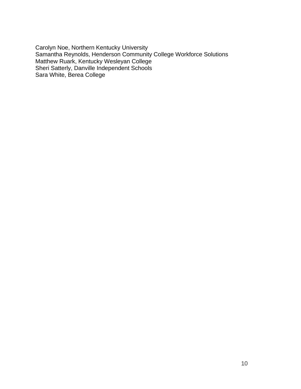Carolyn Noe, Northern Kentucky University Samantha Reynolds, Henderson Community College Workforce Solutions Matthew Ruark, Kentucky Wesleyan College Sheri Satterly, Danville Independent Schools Sara White, Berea College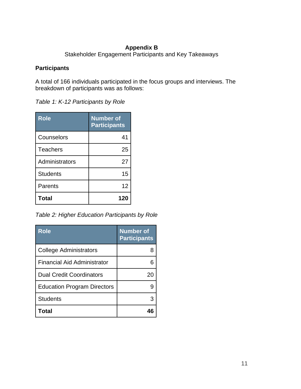# **Appendix B**

Stakeholder Engagement Participants and Key Takeaways

#### **Participants**

A total of 166 individuals participated in the focus groups and interviews. The breakdown of participants was as follows:

*Table 1: K-12 Participants by Role*

| <b>Role</b>     | <b>Number of</b><br><b>Participants</b> |
|-----------------|-----------------------------------------|
| Counselors      | 41                                      |
| <b>Teachers</b> | 25                                      |
| Administrators  | 27                                      |
| <b>Students</b> | 15                                      |
| Parents         | 12                                      |
| <b>Total</b>    | 120                                     |

*Table 2: Higher Education Participants by Role*

| Role                               | <b>Number</b> of<br><b>Participants</b> |
|------------------------------------|-----------------------------------------|
| College Administrators             |                                         |
| <b>Financial Aid Administrator</b> |                                         |
| <b>Dual Credit Coordinators</b>    | 20                                      |
| <b>Education Program Directors</b> |                                         |
| <b>Students</b>                    | 3                                       |
| Total                              |                                         |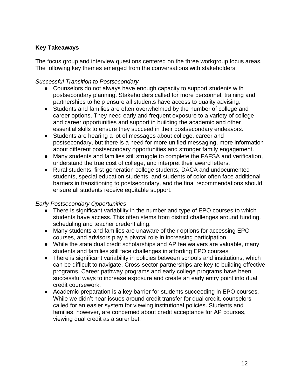# **Key Takeaways**

The focus group and interview questions centered on the three workgroup focus areas. The following key themes emerged from the conversations with stakeholders:

## *Successful Transition to Postsecondary*

- Counselors do not always have enough capacity to support students with postsecondary planning. Stakeholders called for more personnel, training and partnerships to help ensure all students have access to quality advising.
- Students and families are often overwhelmed by the number of college and career options. They need early and frequent exposure to a variety of college and career opportunities and support in building the academic and other essential skills to ensure they succeed in their postsecondary endeavors.
- Students are hearing a lot of messages about college, career and postsecondary, but there is a need for more unified messaging, more information about different postsecondary opportunities and stronger family engagement.
- Many students and families still struggle to complete the FAFSA and verification, understand the true cost of college, and interpret their award letters.
- Rural students, first-generation college students, DACA and undocumented students, special education students, and students of color often face additional barriers in transitioning to postsecondary, and the final recommendations should ensure all students receive equitable support.

# *Early Postsecondary Opportunities*

- There is significant variability in the number and type of EPO courses to which students have access. This often stems from district challenges around funding, scheduling and teacher credentialing.
- Many students and families are unaware of their options for accessing EPO courses, and advisors play a pivotal role in increasing participation.
- While the state dual credit scholarships and AP fee waivers are valuable, many students and families still face challenges in affording EPO courses.
- There is significant variability in policies between schools and institutions, which can be difficult to navigate. Cross-sector partnerships are key to building effective programs. Career pathway programs and early college programs have been successful ways to increase exposure and create an early entry point into dual credit coursework.
- Academic preparation is a key barrier for students succeeding in EPO courses. While we didn't hear issues around credit transfer for dual credit, counselors called for an easier system for viewing institutional policies. Students and families, however, are concerned about credit acceptance for AP courses, viewing dual credit as a surer bet.